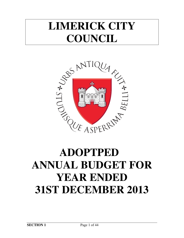## **LIMERICK CITY COUNCIL**



# **ANNUAL BUDGET FOR YEAR ENDED 31ST DECEMBER 2013**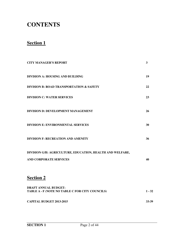## **CONTENTS**

## **Section 1**

| <b>CITY MANAGER'S REPORT</b>                                                               | $\mathbf{3}$ |
|--------------------------------------------------------------------------------------------|--------------|
| DIVISION A: HOUSING AND BUILDING                                                           | 19           |
| <b>DIVISION B: ROAD TRANSPORTATION &amp; SAFETY</b>                                        | 22           |
| <b>DIVISION C: WATER SERVICES</b>                                                          | 23           |
| <b>DIVISION D: DEVELOPMENT MANAGEMENT</b>                                                  | 26           |
| <b>DIVISION E: ENVIRONMENTAL SERVICES</b>                                                  | 30           |
| <b>DIVISION F: RECREATION AND AMENITY</b>                                                  | 36           |
| DIVISION G/H: AGRICULTURE, EDUCATION, HEALTH AND WELFARE,<br><b>AND CORPORATE SERVICES</b> | 40           |
| <b>Section 2</b>                                                                           |              |
| <b>DRAFT ANNUAL BUDGET:</b><br>TABLE A - F (NOTE NO TABLE C FOR CITY COUNCILS)             | $1 - 32$     |
| <b>CAPITAL BUDGET 2013-2015</b>                                                            | 33-39        |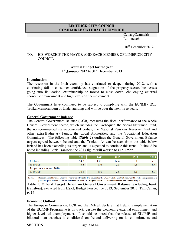#### **LIMERICK CITY COUNCIL COMHAIRLE CATHRACH LUIMNIGH**

 Cé na gCeannaith Luimneach

 $10^{th}$  December 2012.

#### TO: HIS WORSHIP THE MAYOR AND EACH MEMBER OF LIMERICK CITY COUNCIL.

#### **Annual Budget for the year 1 st January 2013 to 31st December 2013**

#### **Introduction**

The recession in the Irish economy has continued to deepen during 2012, with a continuing fall in consumer confidence, stagnation of the property sector, businesses going into liquidation, examinership or forced to close down, challenging external economic environment and high levels of unemployment.

The Government have continued to be subject to complying with the EU/IMF/ ECB Troika Memorandum of Understanding and will be over the next three years.

#### **General Government Balance**

The General Government Balance (GGB) measures the fiscal performance of the whole General Government sector, which includes the Exchequer, the Social Insurance Fund, the non-commercial state-sponsored bodies, the National Pensions Reserve Fund and other extra-Budgetary Funds, the Local Authorities, and the Vocational Education Committees. The following table (*Table 1*) outlines the General Government Balance targets agreed between Ireland and the Trioka. As can be seen from the table below Ireland has been exceeding its targets and is expected to continue this trend. It should be noted including Bank Transfers the 2013 figure will worsen to €15.125bn

|                             | 2011 | 2012 | 2013 | 2014 | 2015 |
|-----------------------------|------|------|------|------|------|
| $\epsilon$ billion          | 14.7 | 13.1 | 12.4 | 8.1  | 5.0  |
| % of GDP                    | 9.2  | 8.0  | 7.3  | 4.6  | 2.7  |
| Target deficit at end 2010: |      |      |      |      |      |
| % of GDP                    | 10.6 | 8.6  | 7.5  | 5.1  | 2.9  |

**Table 1: Official Target Deficit on General Government Balance (excluding bank transfers)**, extracted from ESRI, Budget Perspective 2013, September 2012, Tim Callan, p. 14).

#### **Economic Outlook**

The European Commission, ECB and the IMF all declare that Ireland's implementation of the EU/IMF Programme is on track, despite the weakening external environment and higher levels of unemployment. It should be noted that the release of EU/IMF and bilateral loan tranches is conditional on Ireland delivering on its commitments and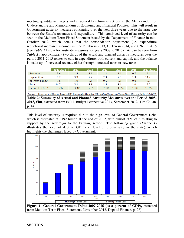meeting quantitative targets and structural benchmarks set out in the Memorandum of Understanding and Memorandum of Economic and Financial Policies. This will result in Government austerity measures continuing over the next three years due to the large gap between the State's revenues and expenditure. This continued level of austerity can be seen in the Medium-Term Fiscal Statement issued by the Department of Finance in mid-October 2012, which details that the consolidation adjustment (i.e. expenditure reductions/ increased income) will be  $\epsilon$ 3.5bn in 2013,  $\epsilon$ 3.1bn in 2014, and  $\epsilon$ 2bn in 2015 (see *Table 2* below for austerity measures for years 2008 to 2015). As can be seen from *Table 2* , approximately two-thirds of the actual and planned austerity measures over the period 2011-2015 relates to cuts in expenditure, both current and capital, and the balance is made up of increased revenue either through increased taxes or new taxes.

|                                                                                                                                            | 2008-2010 | 2011 | 2012 | 2013 | 2014 | 2015    | 2011-2015 |
|--------------------------------------------------------------------------------------------------------------------------------------------|-----------|------|------|------|------|---------|-----------|
| Revenue                                                                                                                                    | 5.6       | 1.4  | 1.6  | 1.3  | 1.1  | 0.7     | 6.1       |
| Expenditure                                                                                                                                | 9.2       | 3.9  | 2.2  | 2.3  | 2.0  | 1.3     | 11.7      |
| of which Capital                                                                                                                           | 1.6       | 1.9  | 0.8  | 0.6  | 0.1  | 0.0     | 3.3       |
| Total                                                                                                                                      | 14.7      | 5.3  | 3.8  | 3.5  | 3.1  | 2.0     | 17.7      |
| Per cent of GDP                                                                                                                            | 9.2%      | 3.3% | 2.3% | 2.1% | 1.8% | $1.1\%$ | 10.6%     |
| Department of Finance Budgets. GDP figures revised based on CSO: National Income and Expenditure, 2011 and Duffy, et al., 2012.<br>Source: |           |      |      |      |      |         |           |
| Table 2: Summary of Actual and Planned Austerity Measures over the Period 2008-                                                            |           |      |      |      |      |         |           |
| 2015, €bn, extracted from ESRI, Budget Perspective 2013, September 2012, Tim Callan,                                                       |           |      |      |      |      |         |           |
| p. $14$ ).                                                                                                                                 |           |      |      |      |      |         |           |

This level of austerity is required due to the high level of General Government Debt, which is estimated at  $E192$  billion at the end of 2012, with almost 30% of it relating to support by the sovereign to the banking sector. The following graph (*Figure 1*) illustrates the level of debt to GDP (i.e. level of productivity in the state), which highlights the challenges faced by Government:

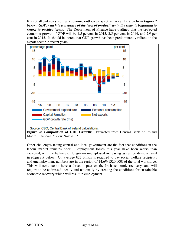It's not all bad news from an economic outlook perspective, as can be seen from *Figure 2* below. *GDP, which is a measure of the level of productivity in the state, is beginning to return to positive terms*. The Department of Finance have outlined that the projected economic growth of GDP will be 1.5 percent in 2013, 2.5 per cent in 2014, and 2.9 per cent in 2015. It should be noted that GDP growth has been predominantly reliant on the export sector in recent years.



Other challenges facing central and local government are the fact that conditions in the labour market remains poor. Employment losses this year have been worse than expected, with the balance of long-term unemployed increasing as can be demonstrated in **Figure 3** below. On average  $E22$  billion is required to pay social welfare recipients and unemployment numbers are in the region of 14.6% (320,000) of the total workforce. This will continue to have a direct impact on the Irish economic recovery, and will require to be addressed locally and nationally by creating the conditions for sustainable economic recovery which will result in employment.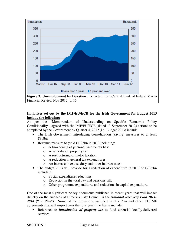

Financial Review Nov 2012, p. 15

#### **Initiatives set out by the IMF/EU/ECB for the Irish Government for Budget 2013 include the following:**

As per the "Memorandum of Understanding on Specific Economic Policy Conditionality", agreed with the IMF/EU/ECB (dated 13 September 2012) actions to be completed by the Government by Quarter 4, 2012 (i.e. Budget 2013) include:

- The Irish Government introducing consolidation (saving) measures to at least €3.5bn.
- Revenue measure to yield  $\epsilon$ 1.25bn in 2013 including:
	- o A broadening of personal income tax base
		- o A value-based property tax
		- o A restructuring of motor taxation
		- o A reduction in general tax expenditures
		- o An increase in excise duty and other indirect taxes
- The budget 2013 will provide for a reduction of expenditure in 2013 of  $\epsilon$ 2.25bn including:
	- o Social expenditure reductions.
	- o Reduction in the total pay and pensions bill.
	- o Other programme expenditure, and reductions in capital expenditure.

One of the most significant policy documents published in recent years that will impact directly on the finances of Limerick City Council is the *National Recovery Plan 2011- 2014* ("the Plan"). Some of the provisions included in this Plan and other EU/IMF agreements that will impact over the four year time frame include:

• Reference to *introduction of property tax* to fund essential locally-delivered services.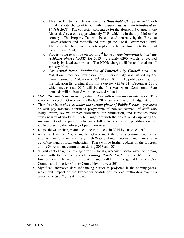- o This has led to the introduction of a *Household Charge in 2012* with initial flat-rate charge of  $E100$ , with *a property tax is to be introduced on* 1<sup>st</sup> July 2013. The collection percentage for the Household Charge in the Limerick City area is approximately 70%, which is in the top third of the country. The Property Tax will be collected centrally by the Revenue Commissioners and redistributed through the Local Government Fund. The Property Charge income is to replace Exchequer funding to the Local Government Fund.
- o Property charge will be on top of 2nd home charge (*non-principal private residence charge-NPPR*) for 2013 – currently  $\epsilon$ 200, which is received directly by local authorities. The NPPR charge will be abolished on  $1<sup>st</sup>$ January 2014.
- o *Commercial Rates –Revaluation of Limerick City Council area*: The Valuation Order for revaluation of Limerick City was signed by the Commissioner of Valuation on 29<sup>th</sup> March 2012. The publication date for the valuation list arising from this exercise will be  $31<sup>st</sup>$  December 2014, which means that 2015 will be the first year when Commercial Rate demands will be issued with the revised valuation.
- *Motor Tax bands are to be adjusted in line with technological advances*. This was commenced in Government's Budget 2012, and continued in Budget 2013.
- There have been *changes under the current phase of Public Service Agreement* on sick pay reforms, continued programme of non-replacement of staff who resign/ retire, review of pay allowances for elimination, and introduce more efficient way of working. Such changes are with the objective of improving the sustainability of the public sector wage bill, achieve current expenditure savings while protecting the delivery of public services.
- Domestic water charges are due to be introduced in 2014 by "Irish Water".
- As set out in the Programme for Government there is a commitment to the establishment of a new company, Irish Water, taking investment and maintenance out of the hand of local authorities. There will be further updates on the progress of this Government commitment during 2013 and 2014
- "Significant change is envisaged for the local government sector over the coming years, with the publication of "*Putting People First*" by the Minister for Environment. The more immediate change will be the merger of Limerick City Council and Limerick County Council by mid year 2014.
- Significant increased debt refinancing burden is projected in the coming years, which will impact on the Exchequer contribution to local authorities over this time-frame (see *Figure 4* below).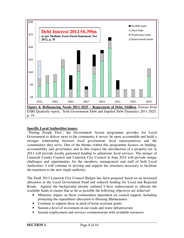

#### **Specific Local Authorities issues:**

 'Putting People First', the Government Action programme provides for Local Government to deliver more to the community it serves, be more accountable and build a stronger relationship between local government, local representatives and the communities they serve. One of the themes within this programme focuses on funding, accountability and governance and in this respect the introduction of a property tax in 2013 will provide locally generated funding to administer local services. The merger of Limerick County Council and Limerick City Council in June 2014 will provide unique challenges and opportunities for the members, management and staff of both Local Authorities. I will continue to develop and support the structures necessary to facilitate the transition to the new single authority.

The Draft 2013 Limerick City Council Budget has been prepared based on an increased allocation in the Local Government Fund and reduced funding for Local and Regional Roads. Against the background already outlined I have endeavoured to allocate the available funds to ensure that as far as possible the following objectives are achieved:

- Minimise impact on those communities dependent on council support, including protecting the expenditure allocation to Housing Maintenance.
- Continue to support those in need of home assistant grants
- Sustain a level of investment in our roads and water infrastructure
- Sustain employment and services commensurate with available resources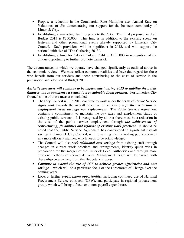- Propose a reduction in the Commercial Rate Multiplier (i.e. Annual Rate on Valuation) of 5% demonstrating our support for the business community of Limerick City.
- Establishing a marketing fund to promote the City. The fund proposed in draft Budget 2013 is  $\epsilon$ 250,000. This fund is in addition to the existing spend on festivals and other promotional events already supported by Limerick City Council. Such provisions will be significant in 2013, and will support the national initiative of "The Gathering 2013".
- Establishing a fund for City of Culture 2014 of  $\epsilon$ 235,000 in recognition of the unique opportunity to further promote Limerick.

The circumstances in which we operate have changed significantly as outlined above in the economic review. We must reflect economic realities and have due regard for those who benefit from our services and those contributing to the costs of service in the preparation and adoption of Budget 2013.

#### *Austerity measures will continue to be implemented during 2013 to stabilise the public finances and to commence a return to a sustainable fiscal position*. For Limerick City Council some of these measures included:

- The City Council will in 2013 continue to work under the terms of *Public Service Agreement* towards the overall objective of achieving a *further reduction in employment levels through non replacement*. The Public Service Agreement contains a commitment to maintain the pay rates and employment status of existing public servants. It is recognised by all that there must be a reduction in the cost of the public service employment through *the achievement of restructuring, flexibilities and reforms of existing work practices.* It should be noted that the Public Service Agreement has contributed to significant payroll savings in Limerick City Council, with remaining staff providing public services in a more efficient manner, which needs to be acknowledged.
- The Council will also *seek additional cost savings* from existing staff through changes in current work practices and arrangements, identify quick wins in preparation for the merger of the Limerick Local Authorities and through more efficient methods of service delivery. Management Team will be tasked with these objectives arising from the Budgetary Process.
- *Continue to extend the use of ICT to achieve greater efficiencies and cost savings –* which will be a particular focus of the Directorate of Change over the coming years.
- Look at further *procurement opportunities* including continued use of National Procurement Service contracts (OPW), and participate in regional procurement group, which will bring a focus onto non-payroll expenditure.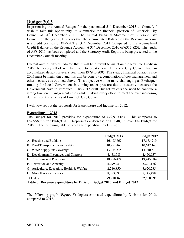## **Budget 2013**

In presenting the Annual Budget for the year ended  $31<sup>st</sup>$  December 2013 to Council, I wish to take this opportunity, to summarise the financial position of Limerick City Council at  $31<sup>st</sup>$  December 2011. The Annual Financial Statement of Limerick City Council for the year 2011 shows that the accumulated Balance on the Revenue Account is a credit position of  $\epsilon$ 497,471 at 31<sup>st</sup> December 2011 (compared to the accumulated Credit Balance on the Revenue Account at  $31<sup>st</sup>$  December 2010 of  $\epsilon$ 317,825). The Audit of AFS 2011 has been completed and the Statutory Audit Report is being presented to the December Council meeting.

Current outturn figures indicate that it will be difficult to maintain the Revenue Credit in 2012, but every effort will be made to break-even. Limerick City Council had an accumulated deficit for every year from 1979 to 2005. The steady financial position since 2005 must be maintained and this will be done by a combination of cost management and other measures as outlined above. This objective will be more challenging as Exchequer funding for Local Government is coming under pressure due to austerity measures the Government have to introduce. The 2013 draft Budget reflects the need to continue a strong financial management ethos while making every effort to meet the ever increasing demands on the services of Limerick City Council.

I will now set out the proposals for Expenditure and Income for 2012.

#### **Expenditure – 2013**

The Budget for 2013 provides for expenditure of  $\epsilon$ 79,910,163. This compares to  $E82.958.895$  for Budget 2011 (represents a decrease of  $E3.048.732$  over the Budget for 2012). The following table sets out the expenditure by Division:

|                                                                | <b>Budget 2013</b>                        | <b>Budget 2012</b> |
|----------------------------------------------------------------|-------------------------------------------|--------------------|
| A. Housing and Building                                        | 16,485,667                                | 17,173,219         |
| B. Road Transportation and Safety                              | 10,951,465                                | 10,642,163         |
| C. Water Supply and Sewerage                                   | 13,434,545                                | 14,040,613         |
| D. Development Incentives and Controls                         | 4,458,783                                 | 4,470,957          |
| E. Environmental Protection                                    | 18,956,474                                | 19,445,084         |
| F. Recreation and Amenity                                      | 5,299,287                                 | 5,221,126          |
| G. Agriculture, Education, Health & Welfare                    | 2,240,850                                 | 3,620,235          |
| H. Miscellaneous Services                                      | 8,083,092                                 | 8,345,498          |
| <b>TOTAL</b><br>.<br>-----<br>----<br>$\overline{\phantom{a}}$ | 79,910,163<br>$\sim$ $\sim$ $\sim$ $\sim$ | 82,958,895         |

**Table 3: Revenue expenditure by Division Budget 2013 and Budget 2012** 

The following graph (*Figure 5*) depicts estimated expenditure by Division for 2013, compared to 2012.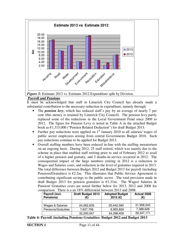

#### **Payroll and Pensions**

It must be acknowledged that staff in Limerick City Council has already made a substantial contribution to the necessary reduction in expenditure, namely through:

- The *pension levy*, which has reduced staff's pay by an average of nearly 7 per cent (this money is retained by Limerick City Council). The pension levy partly replaced some of the reductions in the Local Government Fund since 2009 to 2012. The figure for Pension Levy is noted in Table A in the attached Budget book as €1,315,000 ("Pension Related Deduction") for draft Budget 2013.
- Further pay reductions were applied on  $1<sup>st</sup>$  January 2010 to all salaries/ wages of public sector employees arising from central Governments Budget 2010. Such pay reductions continue to be applied for Budget 2013.
- Overall staffing numbers have been reduced in-line with the staffing moratorium on an ongoing basis. During 2012, 25 staff retired, which was mainly due to the scheme in place that enabled staff retiring prior to end of February 2012 to avail of a higher pension and gratuity, and 2 deaths-in-service occurred in 2012. The consequential impact of the large numbers retiring in 2012 is a reduction in Wages and Salaries costs, and reduction in the level of gratuities required in 2013. The total difference between Budget 2012 and Budget 2013 for payroll (including Pensions/Gratuities) is  $E2.2m$ . This illustrates that Public Service Agreement is contributing significant savings to the public sector. The total provision made in draft Budget 2013 for pension gratuities is  $\epsilon$ 1.31m. The Wages/ Salaries & Pension/ Gratuities costs are noted further below for 2013, 2012 and 2008 for comparison. There is a an 18% differential between 2013 and 2008.

| Payroll (incl.<br>Pensions) | <b>Draft Budget 2013</b> | <b>Adopted Budget</b><br>2012 (€) | <b>Actual 2008</b><br>(€) |  |
|-----------------------------|--------------------------|-----------------------------------|---------------------------|--|
|                             |                          |                                   |                           |  |
| Wages & Salaries            | 24,562,839               | 25.442.580                        | 31,958,543                |  |
| Pensions/Gratuities         | 7,637,708                | 8,955,829                         | 7,388,628                 |  |
|                             | 32,200,547               | 34,398,409                        | 39,347,171                |  |

**Table 4: Payroll (including Pensions Gratuities: Budget 2012 and Budget 2013**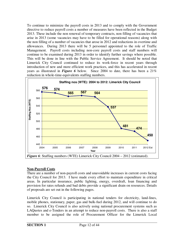To continue to minimize the payroll costs in 2013 and to comply with the Government directive to reduce payroll costs a number of measures have been reflected in the Budget 2013. These include the non renewal of temporary contracts, non filling of vacancies that arise in 2013 (some vacancies may have to be filled for operational reasons) along with the non filling of a number of vacancies that arose in 2012 and reductions in overtime and allowances. During 2013 there will be 5 personnel appointed to the role of Traffic Management. Payroll costs including non-core payroll costs and staff numbers will continue to be examined during 2013 in order to identify further savings where possible. This will be done in line with the Public Service Agreement. It should be noted that Limerick City Council continued to reduce its work-force in recent years through introduction of new and more efficient work practices, and this has accelerated in recent years as illustrated in *Figure 6* below. Since 2004 to date, there has been a 21% reduction in whole-time-equivalents staffing numbers.



#### **Non-Payroll Costs**

There are a number of non-payroll costs and unavoidable increases in current costs facing the City Council for 2013. I have made every effort to maintain expenditure in critical areas. In particular insurance, public lighting, energy, overdraft, loan financing and provision for rates refunds and bad debts provide a significant drain on resources. Details of proposals are set out in the following pages.

Limerick City Council is participating in national tenders for electricity, land-lines, mobile phones, stationary, paper, gas and bulk-fuel during 2012, and will continue to do so. Limerick City Council is also actively using national procurement systems such as LAQuotes and e-Tenders in an attempt to reduce non-payroll costs. There is also a staff member to be assigned the role of Procurement Officer for the Limerick Local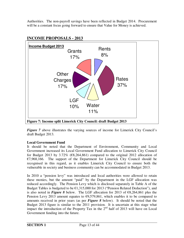Authorities. The non-payroll savings have been reflected in Budget 2014. Procurement will be a constant focus going forward to ensure that Value for Money is achieved.



## **INCOME PROPOSALS - 2013**

*Figure* 7 above illustrates the varying sources of income for Limerick City Council's draft Budget 2013.

#### **Local Government Fund**

It should be noted that the Department of Environment, Community and Local Government increased its Local Government Fund allocation to Limerick City Council for Budget 2013 by 3.72% ( $\epsilon$ 8,264,861) compared to the original 2012 allocation of  $E$ 7,968,166. The support of the Department for Limerick City Council should be recognised in this regard, as it enables Limerick City Council to ensure both the vulnerable in society and business community can be accommodated in Budget 2013.

In 2010 a "pension levy" was introduced and local authorities were allowed to retain these monies, but the amount "paid" by the Department in the LGF allocation was reduced accordingly. The Pension Levy which is disclosed separately in Table A of the Budget Tables is budgeted to be  $\epsilon$ 1,315,000 for 2013 ("Pension Related Deduction"), and is also noted in *Figure 8* below. The LGF allocation for 2013 of €8,264,861 plus the Pension Levy 2013 amount equates to  $\epsilon$ 9,579,861, which enables it to be compared to amounts received in prior years (as per *Figure 8* below). It should be noted that the Budget 2013 figure is similar to the 2011 provision. It is uncertain at this stage what impact the introduction of the Property Tax in the  $2<sup>nd</sup>$  half of 2013 will have on Local Government funding into the future.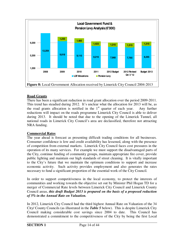

#### **Road Grants**

There has been a significant reduction in road grant allocation over the period 2009-2011. This trend has steadied during 2012. It's unclear what the allocation for 2013 will be, as the road grants allocation is notified in the  $1<sup>st</sup>$  quarter of each year. Any further reductions will impact on the roads programme Limerick City Council is able to deliver during 2013. It should be noted that due to the opening of the Limerick Tunnel, all national roads in Limerick City Council's area are declassified, therefore not attracting NRA funding.

#### **Commercial Rates**

The year ahead is forecast as presenting difficult trading conditions for all businesses. Consumer confidence is low and credit availability has lessened, along with the presence of competition from external markets. Limerick City Council faces cost pressures in the operation of its many services. For example we must support the disadvantaged parts of the City, continue funding of community groups, maintain appropriate fire cover, provide public lighting and maintain our high standards of street cleaning. It is vitally important to the City's future that we maintain the optimum conditions to support and increase economic activity. Such activity provides employment and also generates the rates necessary to fund a significant proportion of the essential work of the City Council.

In order to support competitiveness in the local economy, to protect the interests of communities and working towards the objective set out by Minister Phil Hogan TD for a merger of Commercial Rate levels between Limerick City Council and Limerick County Council areas, *this draft Budget 2013 is prepared on the basis of a proposed reduction of 5% in the Annual Rate on Valuation.*

In 2012, Limerick City Council had the third highest Annual Rate on Valuation of the 34 City/ County Councils (as illustrated in the *Table 5* below). This is despite Limerick City Council making considerable cost savings since 2004 to date. This Council has demonstrated a commitment to the competitiveness of the City by being the first Local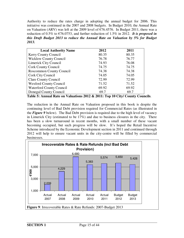Authority to reduce the rates charge in adopting the annual budget for 2006. This initiative was continued in the 2007 and 2008 budgets. In Budget 2010, the Annual Rate on Valuation (ARV) was left at the 2009 level of  $\epsilon$ 76.4576. In Budget 2011, there was a reduction of 0.5% to  $\epsilon$ 76.0753, and further reduction of 1.5% in 2012. *It is proposed in this Draft Budget 2013 to reduce the Annual Rate on Valuation by 5% for Budget 2013.*

| <b>Local Authority Name</b>     | 2012  | 2011  |
|---------------------------------|-------|-------|
| Kerry County Council            | 80.35 | 80.35 |
| <b>Wicklow County Council</b>   | 76.78 | 76.77 |
| Limerick City Council           | 74.93 | 76.08 |
| <b>Cork County Council</b>      | 74.75 | 74.75 |
| <b>Roscommon County Council</b> | 74.38 | 74.38 |
| Cork City Council               | 74.05 | 74.05 |
| <b>Clare County Council</b>     | 72.99 | 72.99 |
| <b>Wexford County Council</b>   | 71.52 | 71.52 |
| <b>Waterford County Council</b> | 69.92 | 69.92 |
| Donegal County Council          | 69.7  | 69.7  |

The reduction in the Annual Rate on Valuation proposed in this book is despite the continuing level of Bad Debt provision required for Commercial Rates (as illustrated in the *Figure 9* below). The Bad Debt provision is required due to the high level of vacancy in Limerick City (estimated to be 17%) and due to business closures in the city. There has been a slow turnaround in recent months, with a small number of these vacant becoming occupied, but such progress will be slow. It's hoped the Retail Incentive Scheme introduced by the Economic Development section in 2011 and continued through 2012 will help to ensure vacant units in the city-centre will be filled by commercial businesses.

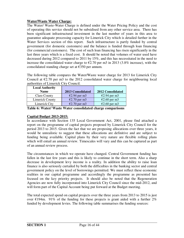#### **Water/Waste Water Charge:**

The Water/ Waste-Water Charge is defined under the Water Pricing Policy and the cost of operating this service should not be subsidised from any other service area. There has been significant infrastructural investment in the last number of years in this area to guarantee adequate processing capacity for Limerick City which is detailed further in the Water Services section of this report. Such infrastructure is partly funded by central government (for domestic customers) and the balance is funded through loan financing (for commercial customers). The cost of such loan financing has risen significantly in the last three years which is a fixed cost. It should be noted that volumes of water used have decreased during 2012 compared to 2011 by 15%, and this has necessitated in the need to increase the consolidated water charge to  $\epsilon$ 2.70 per m3 in 2013 (3.8% increase), with the consolidated standing charge set at  $\epsilon$ 350 per annum.

The following table compares the Water/Waste water charge for 2013 for Limerick City Council at  $\epsilon$ 2.70 per m3 to the 2012 consolidated water charge for neighbouring local authorities of Limerick City Council.

| <b>Local Authority</b> |                          |                        |
|------------------------|--------------------------|------------------------|
| <b>Name</b>            | <b>2013 Consolidated</b> | 2012 Consolidated      |
| <b>Clare County</b>    | $E2.94$ per m3           | $E2.94$ per m3         |
| <b>Limerick County</b> | $\epsilon$ 2.70 per m3   | $\epsilon$ 2.60 per m3 |
| Limerick City          | $\epsilon$ 2.70 per m3   | $\epsilon$ 2.60 per m3 |

**Table 6: Water/ Waste Water consolidated charge comparisons** 

#### **Capital Budget 2013-2015:**

In accordance with Section 135 Local Government Act, 2001, please find attached a report on the programme of capital projects proposed by Limerick City Council for the period 2013 to 2015. Given the fact that we are proposing allocations over three years, it would be unrealistic to suggest that these allocations are definitive and are subject to funding being available. Capital plans by their very nature are flexible rolling plans which will entail an annual review. Timescales will vary and this can be captured as part of an annual review process.

The circumstances in which we operate have changed. Central Government funding has fallen in the last few years and this is likely to continue in the short term. Also a sharp decrease in development levy income is a reality. In addition the ability to raise loan finance is also seriously curtailed by both the difficulties in the banking sector and central government policy on the level of borrowings permitted. We must reflect these economic realities in our capital programme and accordingly the programme as presented has focused on the key priority projects. It should also be noted that the Regeneration Agencies are now fully incorporated into Limerick City Council since the mid-2012, and will form part of the Capital Account being put forward at the Budget meeting.

The total expected spend on capital projects over the three years from 2013 to 2015 is just over  $\epsilon$ 194m. 91% of the funding for these projects is grant aided with a further 2% funded by development levies. The following table summarises the funding sources: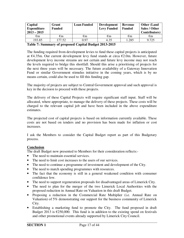| Capital<br><b>Expenditure</b><br>$2013 - 2015$ | Grant<br><b>Funded</b> | <b>Loan Funded</b> | <b>Development</b><br><b>Levy Funded</b> | Revenue<br><b>Funded</b> | <b>Other (Land</b><br>Sales / Other<br>Contributors) |
|------------------------------------------------|------------------------|--------------------|------------------------------------------|--------------------------|------------------------------------------------------|
| $\epsilon_{\rm m}$                             | €m                     | €m                 | €m                                       | $\epsilon$ m             | €m                                                   |
| 193.85                                         | 177.52                 | 0.97               | 4.35                                     | 1.285                    | 9.725                                                |

#### **Table 7: Summary of proposed Capital Budget 2013-2015**

The funding required from development levies to fund these capital projects is anticipated at €4.35m. Our current development levy fund stands at circa €2.0m. However, future development levy income streams are not certain and future levy income may not reach the levels required to bridge this shortfall. Should this arise a prioritising of projects for the next three years will be necessary. The future availability of a Gateway Innovation Fund or similar Government stimulus initiative in the coming years, which is by no means certain, could also be used to fill this funding gap.

The majority of projects are subject to Central Government approval and such approval is key in the decision to proceed with these projects.

The delivery of these Capital Projects will require significant staff input. Staff will be allocated, where appropriate, to manage the delivery of these projects. These costs will be charged to the relevant capital job and have been included in the above expenditure estimates.

The projected cost of capital projects is based on information currently available. These costs are not based on tenders and no provision has been made for inflation or cost increases.

I ask the Members to consider the Capital Budget report as part of this Budgetary process.

#### **Conclusion**

The draft Budget now presented to Members for their consideration reflects:-

- The need to maintain essential services.
- The need to limit cost increases to the users of our services.
- The need to continue a programme of investment and development of the City.
- The need to match spending programmes with resources.
- The fact that the economy is still in a general weakened condition with consumer confidence low.
- The need to support regeneration proposals for disadvantaged areas of Limerick City.
- The need to plan for the merger of the two Limerick Local Authorities with the proposed reduction in Annual Rate on Valuation in this draft Budget.
- Proposing a reduction in the Commercial Rate Multiplier (i.e. Annual Rate on Valuation) of 5% demonstrating our support for the business community of Limerick City.
- Establishing a marketing fund to promote the City. The fund proposed in draft Budget 2013 is  $\epsilon$ 250,000. This fund is in addition to the existing spend on festivals and other promotional events already supported by Limerick City Council.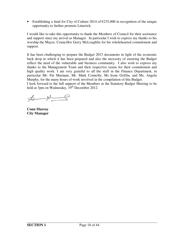• Establishing a fund for City of Culture 2014 of  $\epsilon$ 235,000 in recognition of the unique opportunity to further promote Limerick.

I would like to take this opportunity to thank the Members of Council for their assistance and support since my arrival as Manager. In particular I wish to express my thanks to his worship the Mayor, Councillor Gerry McLoughlin for his wholehearted commitment and support.

It has been challenging to prepare the Budget 2013 documents in light of the economic back drop in which it has been prepared and also the necessity of ensuring the Budget reflect the need of the vulnerable and business community. I also wish to express my thanks to the Management Team and their respective teams for their commitment and high quality work. I am very grateful to all the staff in the Finance Department, in particular Mr. Pat Murnane, Mr. Mark Connolly, Ms Irene Griffin, and Ms. Angela Murphy, for the many hours of work involved in the compilation of this Budget.

I look forward to the full support of the Members at the Statutory Budget Meeting to be held at 3pm on Wednesday,  $19<sup>th</sup>$  December 2012.

 $\begin{picture}(20,20) \put(0,0){\line(1,0){10}} \put(15,0){\line(1,0){10}} \put(15,0){\line(1,0){10}} \put(15,0){\line(1,0){10}} \put(15,0){\line(1,0){10}} \put(15,0){\line(1,0){10}} \put(15,0){\line(1,0){10}} \put(15,0){\line(1,0){10}} \put(15,0){\line(1,0){10}} \put(15,0){\line(1,0){10}} \put(15,0){\line(1,0){10}} \put(15,0){\line(1$ 

**Conn Murray City Manager**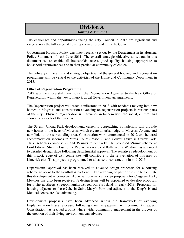## **Division A Housing & Building**

The challenges and opportunities facing the City Council in 2013 are significant and range across the full range of housing services provided by the Council.

Government Housing Policy was most recently set out by the Department in its Housing Policy Statement of 16th June 2011. The overall strategic objective as set out in this document is "to enable all households access good quality housing appropriate to household circumstances and in their particular community of choice".

The delivery of the aims and strategic objectives of the general housing and regeneration programme will be central to the activities of the Home and Community Department in 2013.

#### **Office of Regeneration Programme**

2012 saw the successful transition of the Regeneration Agencies to the New Office of Regeneration within the new Limerick Local Government Arrangements.

The Regeneration project will reach a milestone in 2013 with residents moving into new homes in Moyross and construction advancing on regeneration projects in various parts of the city. Physical regeneration will advance in tandem with the social, cultural and economic aspects of the process.

The 33-unit Cliona Park development, currently approaching completion, will provide new homes in the heart of Moyross which create an urban edge to Moyross Avenue and new links to the surrounding area. Construction work commenced in 2012 on sheltered accommodation schemes in Vizes Court (Phase 2) and Colivet Drive in Carew Park. These schemes comprise 29 and 35 units respectively. The proposed 79-unit scheme at Lord Edward Street, close to the Regeneration area of Ballinacurra Weston, has advanced to detailed design stage following departmental approval. The sensitive redevelopment of this historic edge of city centre site will contribute to the rejuvenation of this area of Limerick city. This project is programmed to advance to construction in mid-2013.

Departmental approval has been received to advance design proposals for a housing scheme adjacent to the Southill Area Centre. The rezoning of part of the site to facilitate this development is complete. Approval to advance design proposals for Cosgrave Park, Moyross has also been received. A design team will be appointed to develop proposals for a site at Sheep Street/AthlunkardStreet, King's Island in early 2013. Proposals for housing adjacent to the crèche in Saint Mary's Park and adjacent to the King's Island Medical centre are also advancing.

Development proposals have been advanced within the framework of evolving Implementation Plans refocused following direct engagement with community leaders. Consultation has reached a point where wider community engagement in the process of the creation of their living environment can advance.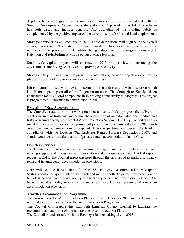A pilot scheme to upgrade the thermal performance of 30 houses carried out with the Southill Development Cooperative, at the end of 2012, proved successful. This scheme has both direct and indirect benefits. The upgrading of the building fabric is complemented by the positive impact on the development of skills and local employment.

Strategic demolitions will continue in 2013. These demolitions will align with the overall strategic objectives. The extent of future demolition has been re-evaluated with the number of units proposed for demolition being reduced from that originally envisaged. Retention and refurbishment will be pursued where feasible.

Small scale capital projects will continue in 2013 with a view to enhancing the environment, improving security and improving connectivity.

Strategic site purchases which align with the overall regeneration objectives continue to play a role and will be assessed on a case-by-case basis.

Infrastructural projects will play an important role in addressing physical isolation which is a factor impacting on all of the Regeneration areas. The Coonagh to Knockalisheen Distributor road is a vital component in improving connectivity to Moyross. This project is programmed to advance to construction in 2013.

#### **Provision of New Accommodation**

The Council, in addition to the works outlined above, will also progress the delivery of eight new units at Rathbane and secure the acquisition of an anticipated one hundred and forty new units through the Rental Accommodation Scheme. The City Council will also maintain an active inspection programme of private rented accommodation in 2013, with over five hundred inspections anticipated. These inspections will assess the level of compliance with the Housing (Standards for Rented Houses) Regulations 2008, and should continue to raise the quality of private rented accommodation in the City.

#### **Homeless Services**

The Council continues to receive approximately eight hundred presentations per year seeking support and emergency accommodation and anticipates a similar level of support request in 2013. The Council meets this need through the services of its multi disciplinary team and its emergency accommodation provisions.

2013 will see the introduction of the PASS (Pathway Accommodation & Support System) computer system which will track and monitor both the patterns of movement of homeless persons and the availability of emergency beds. This information will form the basis of our day to day support requirements and also facilitate planning of long term accommodation provision.

#### **Traveller Accommodation Programme**

The current Traveller Accommodation Plan expires in December 2013 and the Council is required to prepare a new Traveller Accommodation Programme.

The Council will prepare this plan with Limerick County Council to facilitate the preparation and adoption of a joint Traveller Accommodation Plan.

The Council intends to refurbish the Bawney's Bridge halting site in 2013.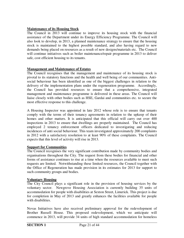#### **Maintenance of its Housing Stock**

The Council in 2013 will continue to improve its housing stock with the financial assistance of the Department under its Energy Efficiency Programme. The Council will also look to develop, in 2013, a planned maintenance strategy to ensure that the housing stock is maintained to the highest possible standard, and also having regard to new demands being placed on resources as a result of new designs/materials etc. The Council will continue initiatives such as boiler maintenance/repair programme in 2013 to deliver safe, cost efficient housing to its tenants.

#### **Management and Maintenance of Estates**

The Council recognises that the management and maintenance of its housing stock is pivotal to its statutory functions and the health and well being of our communities. Antisocial behaviour has been identified as one of the biggest challenges in relation to the delivery of the implementation plans under the regeneration programme. Accordingly, the Council has provided resources to ensure that a comprehensive, integrated management and maintenance programme is delivered in these areas. The Council will liaise closely with other bodies such as HSE, Gardai and communities etc. to secure the most effective response to this challenge.

A Housing Inspector was appointed in late 2012 whose role is to ensure that tenants comply with the terms of their tenancy agreements in relation to the upkeep of their homes and other matters. It is anticipated that this official will carry out over 400 inspections in 2013 to ensure that dwellings are properly maintained. The Council has employed 2 tenancy enforcement officers dedicated to investigating and reducing incidences of anti social behaviour. This team investigated approximately 200 complaints in 2012 with a satisfactory resolution to at least 90% of these complaints. The Council expects that this level of activity will rise in 2013.

#### **Support for Communities**

The Council recognises the very significant contribution made by community bodies and organisations throughout the City. The request from these bodies for financial and other forms of assistance continues to rise at a time when the resources available to meet such requests are limited. Notwithstanding these limited resources, the Council together with the Office of Regeneration has made provision in its estimates for 2013 for support to such community groups and bodies.

#### **Voluntary Housing**

The City Council plays a significant role in the provision of housing services by the voluntary sector. Newgrove Housing Association is currently building 35 units of accommodation for people with disabilities at Sexton Street, Limerick. This project is due for completion in May of 2013 and greatly enhances the facilities available for people with disabilities.

Novas Initiatives have also received preliminary approval for the redevelopment of Brother Russell House. This proposed redevelopment, which we anticipate will commence in 2013, will provide 34 units of high standard accommodation for homeless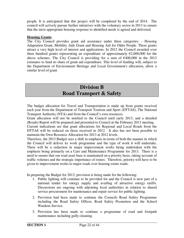people. It is anticipated that this project will be completed by the end of 2014. The council will actively pursue further initiatives with the voluntary sector in 2013 to ensure that the most appropriate housing response to identified needs is agreed and delivered.

#### **Housing Grants**

The City Council provides grant aid assistance under three categories: - Housing Adaptation Grant, Mobility Aids Grant and Housing Aid for Older People. These grants attract a very high level of interest and applications. In 2012 the Council awarded over three hundred grants representing an expenditure of approximately  $\epsilon$ 2,000,000 for the above schemes. The City Council is providing for a sum of  $\epsilon$ 400,000 in the 2013 estimates to fund its share of grant-aid expenditure. This level of funding will, subject to the Department of Environment Heritage and Local Government's allocation, allow a similar level of grant

## **Division B Road Transport & Safety**

The budget allocation for Travel and Transportation is made up from grants received each year from the Department of Transport Tourism and Sport (DTTAS), The National Transport Authority (NTA) and from the Council's own resources.

Grant allocation will not be notified to the Council until early 2013, and a detailed (Roads) Report will be prepared and presented to Council at the February 2013 meeting.

Current indications are that grant allocations for Regional and Local Roads from the DTTAS will be reduced on those received in 2012. It also has not been possible to maintain the Own Resource Allocation for 2013 at 2012 levels.

Therefore, the 2013 Budget sees a shift in emphasis in terms of both the manner in which the Council will deliver its work programme and the type of work it will undertake. There will be a reduction in major improvement works being undertaken with the emphasis being primarily on a Care and Maintenance Programme for 2013. There is a need to ensure that our road asset base is maintained on a priority basis, taking account of traffic volumes and the strategic importance of routes. Therefore, priority will have to be given to improvement works to major roads over housing estate roads.

In preparing the Budget for 2013, provision is being made for the following:

- 1. Public lighting will continue to be provided for and the Council is now part of a national tender for energy supply and availing of attractive energy tariffs. Discussions are ongoing with adjoining local authorities in relation to shared service procurement for maintenance and repair service for public lighting.
- 2. Provision had been made to continue the Councils Road Safety Programme including the Road Safety Officer, Road Safety Promotion and the School Wardens Service.
- 3. Provision has been made to continue a programme of road and footpath maintenance including gully cleaning.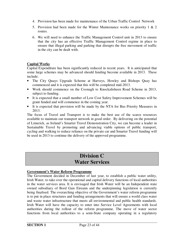- 4. Provision has been made for maintenance of the Urban Traffic Control Network
- 5. Provision had been made for the Winter Maintenance works on priority 1 & 2 routes.
- 6. We will need to enhance the Traffic Management Control unit in 2013 to ensure that the city has an effective Traffic Management Control regime in place to ensure that illegal parking and parking that disrupts the free movement of traffic in the city can be dealt with.

#### **Capital Works**

Capital Expenditure has been significantly reduced in recent years. It is anticipated that some large schemes may be advanced should funding become available in 2013. These include:

- The City Quays Upgrade Scheme at Harveys, Howley and Bishops Quay has commenced and it is expected that this will be completed mid-2013.
- Work should commence on the Coonagh to Knockalisheen Road Scheme in 2013, subject to funding.
- It is expected that a small number of Low Cost Safety Improvement Schemes will be grant funded and will commence in the coming year.
- It is expected that provision will be made by the NTA for Bus Priority Measures in 2013.

The focus of Travel and Transport is to make the best use of the scarce resources available to maintain our transport network in good order. By delivering on the potential of Limerick, as Ireland's Smarter Travel Demonstration City, we can become a leader in Sustainable Travel by promoting and advancing viable options of public transport, cycling and walking to reduce reliance on the private car and Smarter Travel funding will be used in 2013 to continue the delivery of the approved programme.

## **Division C Water Services**

#### **Government's Water Reform Programme**

The Government decided in December of last year, to establish a public water utility, Irish Water, to take over the operational and capital delivery functions of local authorities in the water services area. It is envisaged that Irish Water will be an Independent state owned subsidiary of Bord Gais Eireann and the underpinning legislation is currently being finalised. The overarching objective of the Government's water reform programme is to put in place structures and funding arrangements that will ensure a world class water and waste water infrastructure that meets all environmental and public health standards. Irish Water will have the capacity to enter into Service Level Agreements with local authorities during the rollout of the reform programme. The move of water sector functions from local authorities to a semi-State company operating in a regulatory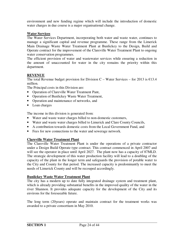environment and new funding regime which will include the introduction of domestic water charges in due course is a major organisational change.

#### **Water Services**

The Water Services Department, incorporating both water and waste water, continues to manage a significant capital and revenue programme. These range from the Limerick Main Drainage Waste Water Treatment Plant at Bunlickey to the Design, Build and Operate contract for the improvement of the Clareville Water Treatment Plant to ongoing water conservation programmes.

The efficient provision of water and wastewater services while ensuring a reduction in the amount of unaccounted for water in the city remains the priority within this department.

#### **REVENUE**

The total Revenue budget provision for Division C – Water Services – for 2013 is  $E$ 13.4 million.

The Principal costs in this Division are:

- Operation of Clareville Water Treatment Pant,
- Operation of Bunlickey Waste Water Treatment,
- Operation and maintenance of networks, and
- Loan charges

The income in this division is generated from:

- Water and waste water charges billed to non-domestic customers,
- Water and waste water charges billed to Limerick and Clare County Councils,
- A contribution towards domestic costs from the Local Government Fund, and
- Fees for new connections to the water and sewerage network.

#### **Clareville Water Treatment Plant**

The Clareville Water Treatment Plant is under the operations of a private contractor under a Design Build Operate type contract. This contract commenced in April 2007 and will see the operator in place until April 2027. The plant now has a capacity of 87MLD. The strategic development of this water production facility will lead to a doubling of the capacity of the plant in the longer term and safeguards the provision of potable water to the City and County for that period. The increased capacity is predominantly to meet the needs of Limerick County and will be recouped accordingly.

#### **Bunlickey Waste Water Treatment Plant**

The city has a modern up to date fully integrated drainage system and treatment plant, which is already providing substantial benefits in the improved quality of the water in the river Shannon. It provides adequate capacity for the development of the City and its environs for the foreseeable future.

The long term (20years) operate and maintain contract for the treatment works was awarded to a private consortium in May 2010.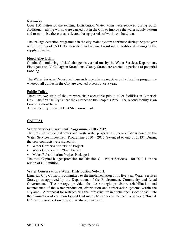#### **Networks**

Over 100 metres of the existing Distribution Water Main were replaced during 2012. Additional valving works were carried out in the City to improve the water supply system and to minimise those areas affected during periods of works or shutdown.

The leakage detection programme in the city mains system continued during the past year with in excess of 150 leaks identified and repaired resulting in additional savings in the supply of water.

#### **Flood Alleviation**

Continual monitoring of tidal changes is carried out by the Water Services Department. Floodgates on O' Callaghan Strand and Clancy Strand are erected in periods of potential flooding.

The Water Services Department currently operates a proactive gully cleaning programme whereby all gullies in the City are cleaned at least once a year.

#### **Public Toilets**

There are two state of the art wheelchair accessible public toilet facilities in Limerick City. The first facility is near the entrance to the People's Park. The second facility is on Lower Bedford Row.

A third facility is available at Shelbourne Park.

#### **CAPITAL**

#### **Water Services Investment Programme 2010 - 2012**

The provision of capital water and waste water projects in Limerick City is based on the Water Services Investment Programme 2010 – 2012 (extended to end of 2013). During the year contracts were signed for

- Water Conservation "Find" Project
- Water Conservation "Fix" Project
- Mains Rehabilitation Project Package 1.

The total Capital budget provision for Division  $C - W$  water Services – for 2013 is in the region of  $E$ 7.3 million.

#### **Water Conservation / Water Distribution Network**

Limerick City Council is committed to the implementation of its five-year Water Services Strategy as approved by the Department of the Environment, Community and Local Government. The strategy provides for the strategic provision, rehabilitation and maintenance of the water production, distribution and conservation systems within the city area. A proposal for restructuring the infrastructure in public open space to facilitate the elimination of common looped lead mains has now commenced. A separate "find  $\&$ fix" water conservation project has also commenced.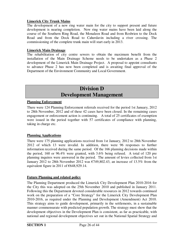#### **Limerick City Trunk Mains**

The development of a new ring water main for the city to support present and future development is nearing completion. New ring water mains have been laid along the course of the Southern Ring Road, the Monaleen Road and from Rosbrien to the Dock Road and from the Dock Road to Caherdavin including a river crossing. The commissioning of the complete trunk main will start early in 2013.

#### **Limerick Main Drainage**

The rehabilitation of city centre sewers to obtain the maximum benefit from the installation of the Main Drainage Scheme needs to be undertaken as a Phase 2 development of the Limerick Main Drainage Project. A proposal to appoint consultants to advance Phase 2 has now been completed and is awaiting final approval of the Department of the Environment Community and Local Government.

## **Division D Development Management**

#### **Planning Enforcement**

There were 124 Planning Enforcement referrals received for the period 1st January, 2012 to 28th November, 2012 and of these 42 cases have been closed. In the remaining cases engagement or enforcement action is continuing. A total of 25 certificates of exemption were issued in the period together with 57 certificates of compliance with planning, taking in charge etc.

#### **Planning Applications**

There were 175 planning applications received from 1st January, 2012 to 28th November 2012 of which 13 were invalid. In addition, there were 96 responses to further information received during the same period. Of the 166 planning decisions made within the period, 160 or 96.4% were granted, with 3.6% being refused. A total of 120 pre planning inquires were answered in the period. The amount of levies collected from 1st January 2012 to 28th November 2012 was  $\epsilon$ 749,802.43, an increase of 13.5% from the equivalent figure in 2011 of €648,929.14.

#### **Future Planning and related policy**

The Planning Department produced the Limerick City Development Plan 2010-2016 for the City this was adopted on the 25th November 2010 and published in January 2011. Following this the Department devoted considerable resources in 2012 towards continued work on the preparation of a "Core Strategy" for the Limerick City Development Plan 2010-2016, as required under the Planning and Development (Amendment) Act 2010. This strategy aims to guide development, primarily in the settlements, in a sustainable manner commensurate with predicted population growth. The strategy must show that the development objectives in the Development Plan is consistent, as far as practicable, with national and regional development objectives set out in the National Spatial Strategy and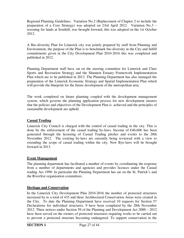Regional Planning Guidelines. Variation No.2 (Replacement of Chapter 2 to include the preparation of a Core Strategy) was adopted on 23rd April 2012. Variation No.3 – rezoning for lands at Southill, was brought forward, this was adopted on the 1st October 2012.

A Bio-diversity Plan for Limerick city was jointly prepared by staff from Planning and Environment, the purpose of the Plan is to benchmark bio-diversity in the City and fulfill commitments given in the City Development Plan 2010-2016 this was completed and published in 2012.

Planning Department staff have sat on the steering committee for Limerick and Clare Sports and Recreation Strategy and the Shannon Estuary Framework Implementation Plan which are to be published in 2013. The Planning Department has also managed the preparation of the Limerick Economic Strategy and Spatial Implementation Plan which will provide the blueprint for the future development of the metropolitan area.

The work completed on future planning coupled with the development management system, which governs the planning application process for new development ensures that the policies and objectives of the Development Plan is achieved and the principles of sustainable development are upheld.

#### **Casual Trading**

Limerick City Council is charged with the control of casual trading in the city. This is done by the enforcement of the casual trading by-laws. Income of  $\epsilon$ 46,606 has been generated through the licensing of Casual Trading pitches and events to the 28th November 2012. The existing by-laws are currently being reviewed with a view to extending the scope of casual trading within the city. New Bye-laws will be brought forward in 2013.

#### **Event Management**

The planning department has facilitated a number of events by coordinating the response from a number of departments and agencies and provides licences under the Casual trading Act 1990. In particular the Planning Department has sat on the St. Patrick's and the Riverfest organisation committees.

#### **Heritage and Conservation**

In the Limerick City Development Plan 2010-2016 the number of protected structures increased by to a total of 435 and three Architectural Conservation Areas were created in the City. To date the Planning Department have received 10 requests for Section 57 Declarations for individual structures, 9 have been completed by the 28th November 2012. Three notices under Section 59 of the Planning and Development Act 2000 – 2012 have been served on the owners of protected structures requiring works to be carried out to prevent a protected structure becoming endangered. To support conservation in the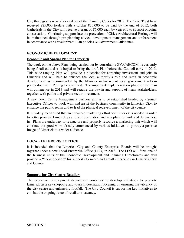City three grants were allocated out of the Planning Codes for 2012. The Civic Trust have received  $\epsilon$ 25,000 to-date with a further  $\epsilon$ 25,000 to be paid by the end of 2012, both Cathedrals in the City will receive a grant of  $\epsilon$ 5,000 each by year end to support ongoing conservation. Continuing support into the protection of Cities Architectural Heritage will be maintained through pre-planning advice, development management and enforcement in accordance with Development Plan policies & Government Guidelines.

#### **ECONOMIC DEVELOPMENT**

#### **Economic and Spatial Plan for Limerick**

The work on the above Plan, being carried out by consultants GVA/AECOM, is currently being finalised and it is hoped to bring the draft Plan before the Council early in 2013. This wide-ranging Plan will provide a blueprint for attracting investment and jobs to Limerick and will help to enhance the local authority's role and remit in economic development as recommended by the Minister in his recent local government reform policy document Putting People First. The important implementation phase of the Plan will commence in 2013 and will require the buy-in and support of many stakeholders, together with public and private sector investment.

A new Town Centre Management business unit is to be established headed by a Senior Executive Officer to work with and assist the business community in Limerick City, to enhance the public realm and to lead the physical redevelopment of the city centre.

It is widely recognised that an enhanced marketing effort for Limerick is needed in order to better promote Limerick as a tourist destination and as a place to work and do business in. Plans are underway to restructure and properly resource a marketing unit which will continue the good work already commenced by various initiatives to portray a positive image of Limerick to a wider audience.

#### **LOCAL ENTERPRISE OFFICE**

It is intended that the Limerick City and County Enterprise Boards will be brought together under a new Local Enterprise Office (LEO) in 2013. The LEO will form one of the business units of the Economic Development and Planning Directorates and will provide a "one-stop-shop" for supports to micro and small enterprises in Limerick City and County.

#### **Supports for City Centre Retailers**

The economic development department continues to develop initiatives to promote Limerick as a key shopping and tourism destination focusing on ensuring the vibrancy of the city centre and enhancing footfall. The City Council is supporting key initiatives to combat the ongoing issue of retail unit vacancy.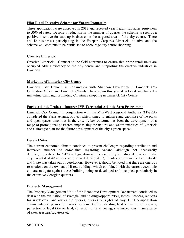#### **Pilot Retail Incentive Scheme for Vacant Properties**

Three applications were approved in 2012 and received year 1 grant subsidies equivalent to 50% of rates. Despite a reduction in the number of queries the scheme is seen as a positive incentive for start-up businesses in the targeted areas of the city centre. There are 42 businesses participating in the Freepark-Carparks Limerick initiative and the scheme will continue to be publicised to encourage city centre shopping.

#### **Creative Limerick**

Creative Limerick – Connect to the Grid continues to ensure that prime retail units are occupied adding vibrancy to the city centre and supporting the creative industries in Limerick.

#### **Marketing of Limerick City Centre**

Limerick City Council in conjunction with Shannon Development, Limerick Co-Ordination Office and Limerick Chamber have again this year developed and funded a marketing campaign promoting Christmas shopping in Limerick City Centre.

#### **Parks Atlantic Project - Interreg IVB Territorial Atlantic Area Programme**

Limerick City Council in conjunction with the Mid-West Regional Authority (MWRA) completed the Parks Atlantic Project which aimed to enhance and capitalise of the parks and open spaces amenities in the city. A key outcome has been the development of a range of promotional postcards emphasising the natural and water amenities of Limerick and a strategic plan for the future development of the city's green spaces.

#### **Derelict Sites**

The current economic climate continues to present challenges regarding dereliction and increased number of complaints regarding vacant, although not necessarily derelict, properties. In 2013 the legislation will be used fully to reduce dereliction in the city. A total of 49 notices were served during 2012, 13 sites were remedied voluntarily and 1 site was taken out of dereliction. However it should be noted that there are onerous restrictions on the owners of listed buildings which combined with the current economic climate mitigate against these building being re-developed and occupied particularly in the extensive Georgian quarters.

#### **Property Management**

The Property Management Unit of the Economic Development Department continued to deal with the evaluation of strategic land holdings/opportunities, leases, licences, requests for wayleaves, land ownership queries, queries on rights of way, CPO compensation claims, adverse possession issues, settlement of outstanding land acquisitions/disposals, perfection of legal title on land, collection of rents owing, site inspections, maintenance of sites, trespass/squatters etc.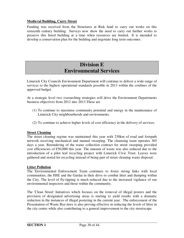#### **Medieval Building, Curry Street**

Funding was received from the Structures at Risk fund to carry out works on this sixteenth century building. Surveys now show the need to carry out further works to preserve this listed building at a time when resources are limited. It is intended to develop a conservation plan for the building and negotiate long term outcomes.

## **Division E Environmental Services**

Limerick City Councils Environment Department will continue to deliver a wide range of services to the highest operational standards possible in 2013 within the confines of the approved budget.

At a strategic level two overarching strategies will drive the Environment Departments business objectives from 2012 into 2013.These are

- (1) To continue to maximise community potential and energy in the maintenance of Limerick City neighbourhoods and environments.
- (2) To continue to achieve higher levels of cost efficiency in the delivery of services.

#### **Street Cleaning**

The street cleaning regime was maintained this year with 230km of road and footpath network receiving mechanical and manual sweeping. The cleansing team operates 365 days a year. Retendering of the waste collection contract for street sweeping provided cost efficiencies of  $\epsilon$ 50,000 this year. The amount of waste was also reduced due to the introduction of a pilot leaf recycling project with Limerick Civic Trust. Leaves were gathered and stored for recycling instead of being part of street cleaning waste disposal.

#### **Litter Pollution**

The Environmental Enforcement Team continues to foster strong links with local communities, the HSE and the Gardai in their drive to combat litter and dumping within the City. The level of fly-tipping is much reduced due to the increased vigilance of our environmental inspectors and those within the community.

The 'Clean Street' Initiatives which focuses on the removal of illegal posters and the provision of designated advertising areas is starting to yield results with a dramatic reduction in the instances of illegal postering in the current year. The enforcement of the Presentation of Waste Bye-laws is also proving effective in reducing the levels of litter in the city centre while also contributing to a general improvement to the city streetscape.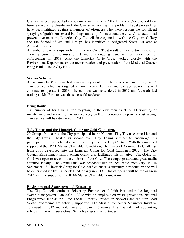Graffiti has been particularly problematic in the city in 2012. Limerick City Council have been are working closely with the Gardai in tackling this problem. Legal proceedings have been initiated against a number of offenders who were responsible for illegal spraying of graffiti on several buildings and shop fronts around the city. As an additional preventative measure, Limerick City Council, in conjunction with the City Art Gallery and the School of Art and Design, has identified a designated Street Art area at Athlunkard Street.

A number of partnerships with the Limerick Civic Trust resulted in the entire removal of chewing gum from Cruises Street and this ongoing issue will be prioritised for enforcement for 2013. Also the Limerick Civic Trust worked closely with the Environment Department on the reconstruction and presentation of the Medieval Quarter Bring Bank outside City Hall.

#### **Waiver Scheme**

Approximately 3500 households in the city availed of the waiver scheme during 2012. This service which is targeted at low income families and old age pensioners will continue to operate in 2013. The contract was re-tendered in 2012 and Valcroft Ltd trading as Mr. Binman was the successful tenderer.

#### **Bring Banks**

The number of bring banks for recycling in the city remains at 22. Outsourcing of maintenance and servicing has worked very well and continues to provide cost saving. This service will be retendered in 2013.

#### **Tidy Towns and the Limerick Going for Gold Campaign.**

29 Groups from across the City participated in the National Tidy Towns competition and the City Council hosted its second ever Tidy Towns seminar to encourage this participation. This included a first time entry from the City Centre. With the continued support of the JP McManus Charitable Foundation, The Limerick Community Challenge from 2011 developed into the Limerick Going for Gold Campaign 2012. The City Council Environment Improvement Grants also facilitated this initiative. The Going for Gold was open to areas in the environs of the City. The campaign attracted great media attention locally. The Grand Final was broadcast live on local radio from City Hall in September. A Limerick Going for Gold 2013 calendar is currently in production and will be distributed via the Limerick Leader early in 2013. This campaign will be run again in 2013 with the support of the JP McManus Charitable Foundation.

#### **Environmental Awareness and Education**

The City Council continues delivering Environmental Initiatives under the Regional Waste Management Plan 2006 – 2012 with an emphasis on waste prevention. National Programmes such as the EPAs Local Authority Prevention Network and the Stop Food Waste Programme are actively supported. The Master Composter Volunteer Initiative continued in 2012 and volunteers took part in 5 events. The Council work supporting schools in the An Taisce Green Schools programme continues.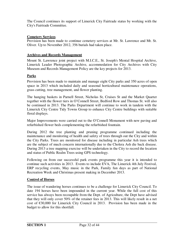The Council continues its support of Limerick City Fairtrade status by working with the City's Fairtrade Committee.

#### **Cemetery Services**

Provision has been made to continue cemetery services at Mr. St. Lawrence and Mt. St. Oliver. Up to November 2012, 356 burials had taken place.

#### **Archives and Records Management**

Mount St. Lawrence joint project with M.I.C.E., St. Joseph's Mental Hospital Archive, Limerick Leader Photographic Archive, accommodation for City Archives with City Museum and Records Management Policy are the key projects for 2013.

#### **Parks**

Provision has been made to maintain and manage eight City parks and 350 acres of open space in 2013 which included daily and seasonal horticultural maintenance operations, grass cutting, tree management, and flower planting.

The hanging baskets in Parnell Street, Nicholas St, Cruises St and the Market Quarter together with the flower tiers in O'Connell Street, Bedford Row and Thomas St. will also be continued in 2013. The Parks Department will continue to work in tandem with the Limerick City Centre Tidy Towns Group to enhance City Centre buildings with suitable floral displays.

Major Improvements were carried out to the O'Connell Monument with new paving and refurbished flower beds complementing the refurbished fountain.

During 2012 the tree planting and pruning programme continued including the maintenance and monitoring of health and safety of trees through out the City and within the City Parks. Trees are monitored for disease including in particular Ash trees which are the subject of much concern internationally due to the Cholera Ash die back disease. During 2013 a tree mapping exercise will be undertaken in the City to record the location and status of Public Realm Trees using GPS technology.

Following on from our successful park events programme this year it is intended to continue such activities in 2013. Events to include EVA, The Limerick 4th July Festival, ERP recycling events, May music in the Park, Family fun days as part of National Recreation Week and Christmas present making in December 2013.

#### **Control of Horses**

The issue of wandering horses continues to be a challenge for Limerick City Council. To date 194 horses have been impounded in the current year. While the full cost of this service has always been recoupable from the Dept. of Agriculture, the Dept have advised that they will only cover 50% of the retainer fees in 2013. This will likely result in a net cost of €30,000 for Limerick City Council in 2013. Provision has been made in the budget to allow for this shortfall.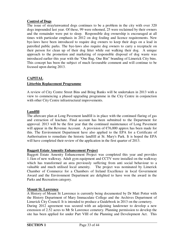#### **Control of Dogs**

The issue of stray/unwanted dogs continues to be a problem in the city with over 320 dogs impounded last year. Of these, 99 were rehomed, 25 were reclaimed by their owners and the remainder were put to sleep. Responsible dog ownership is encouraged at all times with particular emphasis in 2012 on dog fouling and licence requirements. New bye-laws have been introduced to require dog owners to keep their dogs on a lead in patrolled public parks. The bye-laws also require dog owners to carry a receptacle on their person for clean up of their dog litter while out walking their dog. A unique approach to the promotion and marketing of responsible disposal of dog waste was introduced earlier this year with the "One Bag, One Bin" branding of Limerick City bins. This concept has been the subject of much favourable comment and will continue to be focused upon during 2013.

#### **CAPITAL**

#### **Litterbin Replacement Programme**

A review of City Centre Street Bins and Bring Banks will be undertaken in 2013 with a view to commencing a phased upgrading programme in the City Centre in conjunction with other City Centre infrastructural improvements.

#### **Landfill**

The aftercare plan at Long Pavement landfill is in place with the continued flaring of gas and extraction of leachate. Final account has been submitted to the Department for approval. 2013 will be the first year that the continued maintenance of Long Pavement will appear in the Revenue Account. A provision of €76,000 approx has been made for this. The Environment Department have also applied to the EPA for a Certificate of Authorisation to remediate the historic landfill at St. Mary's Park. It is hoped the EPA will have completed their review of the application in the first quarter of 2013.

#### **Baggott Estate Amenity Enhancement Project**

Baggott Estate Amenity Enhancement Project was completed this year and provides 1.1km of new walkway. Adult gym equipment and CCTV were installed on the walkway which has transformed an area previously suffering from anti social behaviour to a valuable and much utilised local amenity. The project was nominated by Limerick Chamber of Commerce for a Chambers of Ireland Excellence in local Government Award and the Environment Department are delighted to have won the award in the Parks and Recreation category.

#### **Mount St. Lawrence**

A History of Mount St Lawrence is currently being documented by Dr Matt Potter with the History Department of Mary Immaculate College and the Archives Department of Limerick City Council. It is intended to produce a Guidebook in 2013 on the cemetery. During 2012 agreement was secured with an adjoining landowner to develop a new extension of 2.52 acres to Mt St Lawrence cemetery. Planning permission to develop the site has been applied for under Part VIII of the Planning and Development Act. This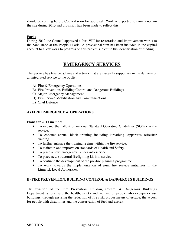should be coming before Council soon for approval. Work is expected to commence on the site during 2013 and provision has been made to reflect this.

#### **Parks**

During 2012 the Council approved a Part VIII for restoration and improvement works to the band stand at the People's Park. A provisional sum has been included in the capital account to allow work to progress on this project subject to the identification of funding.

## **EMERGENCY SERVICES**

The Service has five broad areas of activity that are mutually supportive in the delivery of an integrated service to the public.

- A) Fire & Emergency Operations
- B) Fire Prevention, Building Control and Dangerous Buildings
- C) Major Emergency Management
- D) Fire Service Mobilisation and Communications
- E) Civil Defence

#### **A) FIRE EMERGENCY & OPERATIONS**

#### **Plans for 2013 include:**

- To expand the rollout of national Standard Operating Guidelines (SOGs) in the service.
- To conduct annual block training including Breathing Apparatus refresher training.
- To further enhance the training regime within the fire service.
- To maintain and improve on standards of Health and Safety.
- To place a new Emergency Tender into service.
- To place new structural firefighting kit into service.
- To continue the development of the pre-fire planning programme.
- To work towards the implementation of joint fire service initiatives in the Limerick Local Authorities.

#### **B) FIRE PREVENTION, BUILDING CONTROL & DANGEROUS BUILDINGS**

The function of the Fire Prevention, Building Control & Dangerous Buildings Department is to ensure the health, safety and welfare of people who occupy or use buildings, through ensuring the reduction of fire risk, proper means of escape, the access for people with disabilities and the conservation of fuel and energy.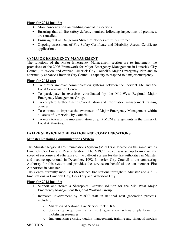#### **Plans for 2013 include:**

- More concentration on building control inspections
- Ensuring that all fire safety defects, itemised following inspections of premises, are remedied.
- Ensuring that all Dangerous Structure Notices are fully enforced.
- Ongoing assessment of Fire Safety Certificate and Disability Access Certificate applications.

#### **C) MAJOR EMERGENCY MANAGEMENT**

The functions of the Major Emergency Management section are to implement the provisions of the 2006 Framework for Major Emergency Management in Limerick City Council, to review and oversee Limerick City Council's Major Emergency Plan and to continually enhance Limerick City Council's capacity to respond to a major emergency.

#### **Plans for 2013 are:**

- To further improve communication systems between the incident site and the Local Co-ordination Centre.
- To participate in exercises coordinated by the Mid-West Regional Major Emergency Management Group.
- To complete further Onsite Co-ordination and information management training courses.
- To continue to improve the awareness of Major Emergency Management within all areas of Limerick City Council.
- To work towards the implementation of joint MEM arrangements in the Limerick Local Authorities.

#### **D) FIRE SERVICE MOBILISATION AND COMMUNICATIONS**

#### **Munster Regional Communications System**

The Munster Regional Communications System (MRCC) is located on the same site as Limerick City Fire and Rescue Station. The MRCC Project was set up to improve the speed of response and efficiency of the call-out system for the fire authorities in Munster and became operational in December, 1992. Limerick City Council is the contracting Authority for this system and provides the service on behalf of the ten member Fire Authorities in Munster.

The Centre currently mobilises 66 retained fire stations throughout Munster and 4 fulltime stations in Limerick City, Cork City and Waterford City.

#### **Plans for 2013 include:**

- 1. Support and iterate a Sharepoint Extranet solution for the Mid West Major Emergency Management Regional Working Group.
- 2. Increased involvement by MRCC staff in national next generation projects, including:
	- o Migration of National Fire Service to TETRA
	- o Specifying requirements of next generation software platform for mobilising resources.
	- o Implementing existing quality management, training and financial models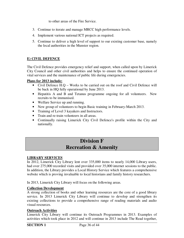to other areas of the Fire Service.

- 3. Continue to iterate and manage MRCC high performance levels.
- 4. Implement various national ICT projects as required.
- 5. Continue to deliver a high level of support to our existing customer base, namely the local authorities in the Munster region.

#### **E) CIVIL DEFENCE**

The Civil Defence provides emergency relief and support, when called upon by Limerick City Council and other civil authorities and helps to ensure the continued operation of vital services and the maintenance of public life during emergencies.

#### **Plans for 2013 include:**

- Civil Defence H.Q Works to be carried out on the roof and Civil Defence will be back in HQ fully operational by June 2013.
- Hepatitis A and B and Tetanus programme ongoing for all volunteers. New recruits to be immunised.
- Welfare Service up and running.
- New group of volunteers to begin Basic training in February-March 2013.
- Training of Level 3 kayakers and Instructors.
- Train and re-train volunteers in all areas.
- Continually raising Limerick City Civil Defence's profile within the City and nationally.

## **Division F Recreation & Amenity**

#### **LIBRARY SERVICES**

In 2012, Limerick City Library lent over 335,000 items to nearly 14,000 Library users, had over 275,000 recorded visits and provided over 35,000 internet sessions to the public. In addition, the Library provides a Local History Service which features a comprehensive website which is proving invaluable to local historians and family history researchers.

In 2013, Limerick City Library will focus on the following areas.

#### **Collection Development**

A strong collection of books and other learning resources are the core of a good library service. In 2013 Limerick City Library will continue to develop and strengthen its existing collections to provide a comprehensive range of reading materials and audio visual resources.

#### **Outreach Activities**

Limerick City Library will continue its Outreach Programmes in 2013. Examples of activities which took place in 2012 and will continue in 2013 include The Read together,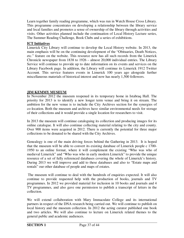Learn together family reading programme, which was run in Watch House Cross Library. This programme concentrates on developing a relationship between the library service and local families and promotes a sense of ownership of the library through activities and visits. Other activities planned include the continuation of Local History Lecture series, The Summer Reading Challenge, Book Clubs and a series of exhibitions.

#### **ICT Initiatives**

Limerick City Library will continue to develop the Local History website. In 2013, the main emphasis will be on the continuing development of the "Obituaries, Death Notices, etc." feature on the website. This resource now has all such records from the Limerick Chronicle newspaper from 1838 to 1926 – almost 20,000 individual entries. The Library Service will continue to provide up to date information on its events and services on the Library Facebook page. In addition, the Library will continue its Limerick 1912 Twitter Account. This service features events in Limerick 100 years ago alongside further miscellaneous materials of historical interest and now has nearly 1,500 followers.

#### **JIM KEMMY MUSEUM**

In November 2012 the museum reopened in its temporary home in Istabraq Hall. The priority for 2013 is to identify a new longer term venue and bring it on stream. The ambition for the new venue is to include the City Archives section for the synergies of co-location. Both the museum and archives have similar environmental needs for storage of their collections and it would provide a single location for researchers to visit.

In 2013 the museum will continue cataloguing its collection and producing images for its online catalogue. It will also continue collecting material relating to the city and county. Over 900 items were acquired in 2012. There is currently the potential for three major collections to be donated to be shared with the City Archives.

Genealogy is one of the main driving forces behind the Gathering in 2013. It is hoped that the museum will be able to convert its existing database of Limerick people c 1700- 1950 to an online format, where it will complement the existing "Who was who of medieval Limerick" and "Who was who in early modern Limerick" to provide the unique resource of a set of fully referenced databases covering the whole of Limerick's history. During 2013 we will improve and add to these databases and also to "Estate maps and rentals" our other database of people and maps of estates.

 The museum will continue to deal with the hundreds of enquiries expected. It will also continue to provide requested help with the production of books, journals and TV programmes. In 2012 we provided material for inclusion in 10 books and journals and 4 TV programmes, and also gave one permission to publish a transcript of letters in the collection.

We will extend collaboration with Mary Immaculate College and its international partners in respect of the DNA research being carried out. We will continue to publish on local history and the museum collection. In 2012 the acting curator published one book and two articles. We will also continue to lecture on Limerick related themes to the general public and academic audiences.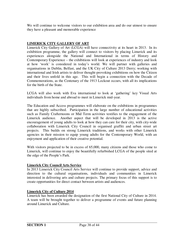We will continue to welcome visitors to our exhibition area and do our utmost to ensure they have a pleasant and memorable experience

#### **LIMERICK CITY GALLERY OF ART**

Limerick City Gallery of Art (LCGA) will have connectivity at its heart in 2013. In its exhibition programme, the gallery will connect to visitors by placing Limerick and its experiences alongside the National and International in terms of History and Contemporary Experience – the exhibitions will look at experiences of industry and look at how 'work' is considered in today's world. We will partner with galleries and organisations in Dublin, Belfast, and the UK City of Culture 2013 Derry; working with international and Irish artists to deliver thought-provoking exhibitions on how the Citizen and their lives unfold in this age. This will begin a connection with the Decade of Commemorations, as the Centenary of the 1913 Lockout occurs, with all its implications for the birth of the State.

LCGA will also work with Eva international to look at 'gathering' key Visual Arts individuals from home and abroad to meet in Limerick mid-year.

The Education and Access programmes will elaborate on the exhibitions in programmes that are highly subscribed. Participation in the large number of educational activities such as Family Crafternoons or Mid Term activities testifies to the engagement of the Limerick audience. Another aspect that will be developed in 2013 is the active encouragement of young adults to look at how they can care for their city, with city-wide collaboration with Limerick City Council in organised graffiti and urban street art projects. This builds on strong Limerick traditions, and works with other Limerick agencies in their mission to equip young adults for the Contemporary World, with an enjoyment and application of their creative potential.

With visitors projected to be in excess of 65,000, many citizens and those who come to Limerick, will continue to enjoy the beautifully refurbished LCGA of the people sited at the edge of the People's Park.

#### **Limerick City Council Arts Service**

In 2013 Limerick City Council Arts Service will continue to provide support, advice and direction to the cultural organisations, individuals and communities in Limerick interested in delivering arts and culture projects. The primary focus of this support is to create opportunities for direct contact between artists and audiences.

#### **Limerick City of Culture 2014**

Limerick has been awarded the designation of the first National City of Culture in 2014. A team will be brought together to deliver a programme of events and future planning around Limerick and Culture.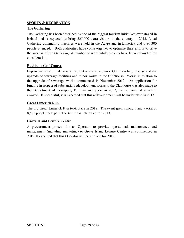#### **SPORTS & RECREATION**

#### **The Gathering**

The Gathering has been described as one of the biggest tourism initiatives ever staged in Ireland and is expected to bring 325,000 extra visitors to the country in 2013. Local Gathering community meetings were held in the Adare and in Limerick and over 300 people attended. Both authorities have come together to optimise their efforts to drive the success of the Gathering. A number of worthwhile projects have been submitted for consideration.

#### **Rathbane Golf Course**

Improvements are underway at present to the new Junior Golf Teaching Course and the upgrade of sewerage facilities and minor works to the Clubhouse. Works in relation to the upgrade of sewerage works commenced in November 2012. An application for funding in respect of substantial redevelopment works to the Clubhouse was also made to the Department of Transport, Tourism and Sport in 2012, the outcome of which is awaited. If successful, it is expected that this redevelopment will be undertaken in 2013.

#### **Great Limerick Run**

The 3rd Great Limerick Run took place in 2012. The event grew strongly and a total of 8,501 people took part. The 4th run is scheduled for 2013.

#### **Grove Island Leisure Centre**

A procurement process for an Operator to provide operational, maintenance and management (including marketing) to Grove Island Leisure Centre was commenced in 2012. It expected that this Operator will be in place for 2013.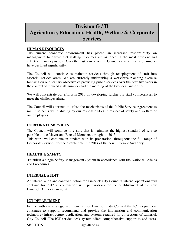## **Division G / H Agriculture, Education, Health, Welfare & Corporate Services**

#### **HUMAN RESOURCES**

The current economic environment has placed an increased responsibility on management to ensure that staffing resources are assigned in the most efficient and effective manner possible. Over the past four years the Council's overall staffing numbers have declined significantly.

The Council will continue to maintain services through redeployment of staff into essential service areas. We are currently undertaking a workforce planning exercise focusing on our primary objective of providing public services over the next five years in the context of reduced staff numbers and the merging of the two local authorities.

We will concentrate our efforts in 2013 on developing further our staff competencies to meet the challenges ahead.

The Council will continue to utilise the mechanisms of the Public Service Agreement to minimise costs while abiding by our responsibilities in respect of safety and welfare of our employees.

#### **CORPORATE SERVICES**

The Council will continue to ensure that it maintains the highest standard of service possible to the Mayor and Elected Members throughout 2013.

This work will continue in tandem with its preparation, throughout the full range of Corporate Services, for the establishment in 2014 of the new Limerick Authority.

#### **HEALTH & SAFETY**

 Establish a single Safety Management System in accordance with the National Policies and Procedures.

#### **INTERNAL AUDIT**

An internal audit and control function for Limerick City Council's internal operations will continue for 2013 in conjunction with preparations for the establishment of the new Limerick Authority in 2014.

#### **ICT DEPARTMENT**

In line with the strategic requirements for Limerick City Council the ICT department continues to support, recommend and provide the information and communication technology infrastructure, applications and systems required for all sections of Limerick City Council. The ICT service desk system offers comprehensive support to end users,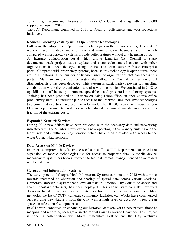councillors, museum and libraries of Limerick City Council dealing with over 3,600 support requests in 2012.

The ICT Department continued in 2011 to focus on efficiencies and cost reductions initiatives.

#### **Reduced Licensing costs by using Open Source technologies**

Following the adoption of Open Source technologies in the previous years, during 2012 we continued the deployment of new and more efficient business systems which compared with proprietary systems provide better features without any licensing costs.

An Extranet collaboration portal which allows Limerick City Council to share documents, track project status, update and share calendars of events with other organizations has been deployed using the free and open source Alfresco Enterprise portal. Compared with proprietary systems, because this technology is open source, there are no limitations in the number of licensed users or organizations that can access this portal. Mailman, an open source system that allows the Council to maintain email distribution lists has been deployed. This system is particularity relevant for enabling collaboration with other organisations and also with the public. We continued in 2012 to up-skill our staff in using document, spreadsheet and presentation authoring systems. Training has been provided to 40 users on using LibreOffice, an open source office productivity suite. To facilitate public access to the Internet using inclusive technologies two community centres have been provided under the DIEGO project with touch screen PCs and open source technologies which reduced the annual maintenance costs to a fraction of the existing costs.

#### **Expanded Network Services**

During 2012 new offices have been provided with the necessary data and networking infrastructure. The Smarter Travel office is now operating in the Granary building and the North-side and South-side Regeneration offices have been provided with access to the wider Council data network.

#### **Data Access on Mobile Devices**

In order to improve the effectiveness of our staff the ICT Department continued the expansion of mobile technologies use for access to corporate data. A mobile device management system has been introduced to facilitate remote management of an increased number of devices.

#### **Geographical Information Systems**

The development of Geographical Information Systems continued in 2012 with a move towards increased collaboration and sharing of spatial data across various sections. Corporate Browser, a system that allows all staff in Limerick City Council to access and share important data sets, has been deployed. This allows staff to make informed decisions based on relevant and accurate data for example the water, roads and fibre networks, the list of CCTV cameras, community facilities, etc. Works have commenced on recording new datasets from the City with a high level of accuracy: trees, green spaces, traffic control equipment, etc.

In 2012 work continued on expanding our historical data sets with a new project aimed at mapping and recording each grave in the Mount Saint Lawrence Cemetery. This project is done in collaboration with Mary Immaculate College and the City Archives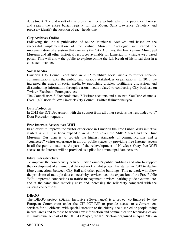department. The end result of this project will be a website where the public can browse and search the entire burial registry for the Mount Saint Lawrence Cemetery and precisely identify the location of each headstone.

#### **City Archives Online**

Following the initial publication of online Municipal Archives and based on the successful implementation of the online Museum Catalogue we started the implementation of a system that connects the City Archives, the Jim Kemmy Municipal Museum and all other historical resources available for Limerick in a single web based portal. This will allow the public to explore online the full breath of historical data in a consistent manner.

#### **Social Media**

Limerick City Council continued in 2012 to utilize social media to further enhance communications with the public and various stakeholder organizations. In 2012 we increased the usage of social media by publishing articles, facilitating discussions and disseminating information through various media related to conducting City business on Twitter, Facebook, Foursquare, etc.

The Council uses 8 Facebook sites, 7 Twitter accounts and also two YouTube channels. Over 1,400 users follow Limerick City Council Twitter @limerickcityco.

#### **Data Protection**

In 2012 the ICT Department with the support from all other sections has responded to 17 Data Protection requests.

#### **Free Internet Access over WiFi**

In an effort to improve the visitor experience in Limerick the Free Public WiFi initiative started in 2011 has been expanded in 2012 to cover the Milk Market and the Hunt Museum. Our plan is to provide the highest standards of communications and a "connected" visitor experience in all our public spaces by providing free Internet access in all the public locations. As part of the redevelopment of Howley's Quay free WiFi access to the Internet will be provided as a pilot for a municipal data network.

#### **Fibre Infrastructure**

To improve the connectivity between City Council's public buildings and also to support the development of a municipal data network a pilot project has started in 2012 to deploy fibre connections between City Hall and other public buildings. This network will allow the provision of multiple data connectivity services, i.e. the expansion of the Free Public WiFi, improved connections to traffic management devices, parking guide systems, etc. and at the same time reducing costs and increasing the reliability compared with the existing connections.

#### **DIEGO**

The DIEGO project (Digital Inclusive eGovernance) is a project co-financed by the European Commission under the CIP ICT-PSP to provide access to e-Government services for all citizens, with special attention to the elderly, the disabled or people living in rural areas and to those to whom new information and communication technologies are still unknown. As part of the DIEGO Project, the ICT Section organized in April 2012 an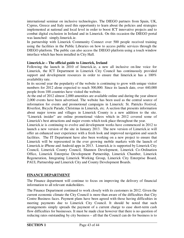international seminar on inclusive technologies. The DIEGO partners from Spain, UK, Cyprus, Greece and Italy used this opportunity to learn about the policies and strategies implemented at national and local level in order to boost ICT innovative projects and to combat digital exclusion in Ireland and in Limerick. On this occasion the DIEGO portal was launched: simply.limerick.ie.

In partnership with Limerick Community Connect over 500 people received training using the facilities in the Public Libraries on how to access public services through the DIEGO platform. The public can also access the DIEGO platform using a touch window interface which has been installed in City Hall.

#### **Limerick.ie – The official guide to Limerick, Ireland**

Following the launch in 2010 of limerick.ie, a new all inclusive on-line voice for Limerick, the ICT Department in Limerick City Council has continuously provided support and development resources in order to ensure that limerick.ie has a 100% availability rate.

In its second year the popularity of the website is continuing to grow with unique visitor numbers for 2012 alone expected to reach 300,000. Since its launch date, over 440,000 people from 188 countries have visited the website.

At the end of 2012 almost 2,000 amenities are available online and during the year almost 2,000 events have been advertised. The website has been used as the central source of information for events and promotional campaigns in Limerick: St. Patricks Festival, Riverfest, Bicycle Parade, Christmas in Limerick, etc. A section that presents information about major towns and villages in Limerick County is a new addition to the site. "Limerick insider" are online promotional videos which in 2012 covered some of Limerick's best attractions and major events which took place throughout the year.

Limerick.ie is continuing to evolve and development works have commenced in 2012 to launch a new version of the site in January 2013. The new version of Limerick.ie will offer an enhanced user experience with a fresh look and improved navigation and search facilities. The IT Department have also been working on a new project to ensure that Limerick will be represented in the ever growing mobile markets with the launch of Limerick.ie iPhone and Android apps in 2013. Limerick.ie is supported by Limerick City Council, Limerick County Council, Shannon Development, Limerick Co-Ordination Office, Limerick Enterprise Development Partnership, Limerick Chamber, Limerick Regeneration, Integrating Limerick Working Group, Limerick City Enterprise Board, PAUL Partnership and Limerick City and County Development Boards.

#### **FINANCE DEPARTMENT**

The Finance department will continue to focus on improving the delivery of financial information to all relevant stakeholders.

The Finance Department continued to work closely with its customers in 2012. Given the current economic climate the City Council is more than aware of the difficulties that City Centre Business faces. Payment plans have been agreed with those having difficulties in meeting payments due to Limerick City Council. It should be noted that such arrangements simply spreads the payment of a current charge to ease short-term cash flow difficulties for businesses. It must be made clear however that there is no question of reducing rates outstanding by city business – all that the Council can do for business is to